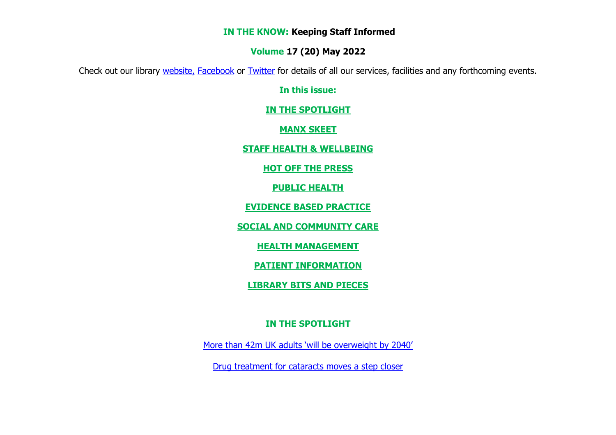#### **IN THE KNOW: Keeping Staff Informed**

#### **Volume 17 (20) May 2022**

Check out our library [website,](http://www.librarykeylldarree.gov.im/) [Facebook](http://www.facebook.com/keylldarreelibrary) or [Twitter](https://twitter.com/KeyllDarree) for details of all our services, facilities and any forthcoming events.

**In this issue:**

**[IN THE SPOTLIGHT](#page-0-0)**

**[MANX SKEET](#page-1-0)**

**[STAFF HEALTH & WELLBEING](#page-1-1)**

**HOT OFF THE PRESS**

**[PUBLIC HEALTH](#page-4-0)**

**[EVIDENCE BASED PRACTICE](#page-18-0)**

**[SOCIAL AND COMMUNITY CARE](#page-16-0)** 

**[HEALTH MANAGEMENT](#page-17-0)**

**PATIENT INFORMATION**

**[LIBRARY BITS AND PIECES](#page-21-0)**

## **IN THE SPOTLIGHT**

<span id="page-0-0"></span>[More than 42m UK adults 'will be overweight by 2040'](https://www.theguardian.com/society/2022/may/19/more-than-42m-uk-adults-will-be-overweight-by-2040)

[Drug treatment for cataracts moves a step closer](https://click.email.ophthalmologytimes.com/?qs=950d11bc8d7733016558dfa59ce6e5822b9bc41608015722c1c03e9fa33127b202165699aaa59daf3b53c7c644b9cda1a8ebea84aa8888f832e471bab512d8a0)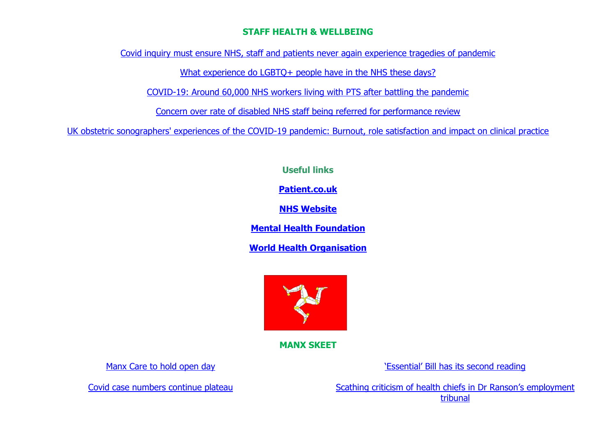### **STAFF HEALTH & WELLBEING**

<span id="page-1-1"></span>[Covid inquiry must ensure NHS, staff and patients never again experience tragedies of pandemic](https://www.nhsconfed.org/news/covid-inquiry-must-ensure-nhs-staff-and-patients-never-again-experience-tragedies-pandemic)

What experience do LGBTO+ people have in the NHS these days?

[COVID-19: Around 60,000 NHS workers living with PTS after battling the pandemic](https://news.sky.com/story/covid-19-around-60-000-nhs-workers-living-with-ptsd-after-battling-the-pandemic-12611786)

[Concern over rate of disabled NHS staff being referred for performance review](https://www.nursingtimes.net/news/workforce/concern-over-rate-of-disabled-nhs-staff-being-referred-for-performance-review-11-05-2022/)

[UK obstetric sonographers' experiences of the COVID-19 pandemic: Burnout, role satisfaction and impact on clinical practice](https://journals.sagepub.com/doi/abs/10.1177/1742271X221091716)

**Useful links**

**[Patient.co.uk](http://www.patient.co.uk/)**

**[NHS Website](http://www.nhs.uk/Pages/homepage.aspx)**

**[Mental Health Foundation](http://www.mentalhealth.org.uk/)**

**[World Health Organisation](http://www.who.int/en/)**



**MANX SKEET**

[Manx Care to hold open day](https://www.energyfm.net/cms/news_story_723232.html)

<span id="page-1-0"></span>[Covid case numbers continue plateau](https://www.iomtoday.co.im/news/health/covid-case-numbers-continue-plateau-547889)

['Essential' Bill has it](https://www.iomtoday.co.im/news/health/essential-bill-has-its-second-reading-547491)s second reading

[Scathing criticism of health chiefs in Dr Ranson's employment](https://www.iomtoday.co.im/news/health/scathing-criticism-of-health-chiefs-in-dr-ransons-employment-tribunal-547432)  [tribunal](https://www.iomtoday.co.im/news/health/scathing-criticism-of-health-chiefs-in-dr-ransons-employment-tribunal-547432)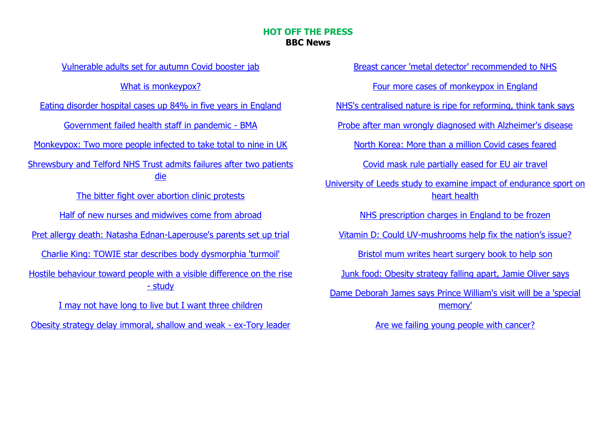#### **HOT OFF THE PRESS BBC News**

[Vulnerable adults set for autumn Covid booster jab](https://www.bbc.co.uk/news/61513975?at_medium=RSS&at_campaign=KARANGA)

[What is monkeypox?](https://www.bbc.co.uk/news/health-45665821?at_medium=RSS&at_campaign=KARANGA)

[Eating disorder hospital cases up 84% in five years](https://www.bbc.co.uk/news/health-61480898?at_medium=RSS&at_campaign=KARANGA) in England

[Government failed health staff in pandemic -](https://www.bbc.co.uk/news/health-61483373?at_medium=RSS&at_campaign=KARANGA) BMA

[Monkeypox: Two more people infected to take total to nine in UK](https://www.bbc.co.uk/news/health-61501679?at_medium=RSS&at_campaign=KARANGA)

[Shrewsbury and Telford NHS Trust admits failures after two patients](https://www.bbc.co.uk/news/uk-england-shropshire-61492208?at_medium=RSS&at_campaign=KARANGA)  [die](https://www.bbc.co.uk/news/uk-england-shropshire-61492208?at_medium=RSS&at_campaign=KARANGA)

[The bitter fight over abortion clinic protests](https://www.bbc.co.uk/news/health-61473721?at_medium=RSS&at_campaign=KARANGA)

[Half of new nurses and midwives come from abroad](https://www.bbc.co.uk/news/health-61483358?at_medium=RSS&at_campaign=KARANGA)

[Pret allergy death: Natasha Ednan-Laperouse's parents set up trial](https://www.bbc.co.uk/news/uk-england-london-61480546?at_medium=RSS&at_campaign=KARANGA)

[Charlie King: TOWIE star describes body dysmorphia 'turmoil'](https://www.bbc.co.uk/news/health-61477169?at_medium=RSS&at_campaign=KARANGA)

[Hostile behaviour toward people with a visible difference on the rise](https://www.bbc.co.uk/news/newsbeat-61464341?at_medium=RSS&at_campaign=KARANGA)  - [study](https://www.bbc.co.uk/news/newsbeat-61464341?at_medium=RSS&at_campaign=KARANGA)

[I may not have long to live but I want three children](https://www.bbc.co.uk/news/uk-scotland-edinburgh-east-fife-61383131?at_medium=RSS&at_campaign=KARANGA)

[Obesity strategy delay immoral, shallow and weak -](https://www.bbc.co.uk/news/uk-61474541?at_medium=RSS&at_campaign=KARANGA) ex-Tory leader

[Breast cancer 'metal detector' recommended to NHS](https://www.bbc.co.uk/news/health-61463672?at_medium=RSS&at_campaign=KARANGA)

[Four more cases of monkeypox in England](https://www.bbc.co.uk/news/health-61470940?at_medium=RSS&at_campaign=KARANGA)

[NHS's centralised nature is ripe for reforming, think tank says](https://www.bbc.co.uk/news/health-61468862?at_medium=RSS&at_campaign=KARANGA)

[Probe after man wrongly diagnosed with Alzheimer's disease](https://www.bbc.co.uk/news/uk-england-leicestershire-61465485?at_medium=RSS&at_campaign=KARANGA)

[North Korea: More than a million Covid cases feared](https://www.bbc.co.uk/news/world-asia-61436270?at_medium=RSS&at_campaign=KARANGA)

[Covid mask rule partially eased for EU air travel](https://www.bbc.co.uk/news/world-europe-61463794?at_medium=RSS&at_campaign=KARANGA)

[University of Leeds study to examine impact of endurance sport on](https://www.bbc.co.uk/news/uk-england-leeds-61435727?at_medium=RSS&at_campaign=KARANGA)  [heart health](https://www.bbc.co.uk/news/uk-england-leeds-61435727?at_medium=RSS&at_campaign=KARANGA)

[NHS prescription charges in England to be frozen](https://www.bbc.co.uk/news/uk-61451005?at_medium=RSS&at_campaign=KARANGA)

Vitamin D: Could UV-[mushrooms help fix the nation's issue?](https://www.bbc.co.uk/news/health-61392698?at_medium=RSS&at_campaign=KARANGA)

[Bristol mum writes heart surgery book to help son](https://www.bbc.co.uk/news/uk-england-bristol-61443420?at_medium=RSS&at_campaign=KARANGA)

[Junk food: Obesity strategy falling apart, Jamie Oliver says](https://www.bbc.co.uk/news/uk-61449921?at_medium=RSS&at_campaign=KARANGA)

[Dame Deborah James says Prince William's visit will be a 'special](https://www.bbc.co.uk/news/uk-61450225?at_medium=RSS&at_campaign=KARANGA)  [memory'](https://www.bbc.co.uk/news/uk-61450225?at_medium=RSS&at_campaign=KARANGA)

[Are we failing young people with cancer?](https://www.bbc.co.uk/news/health-61441539?at_medium=RSS&at_campaign=KARANGA)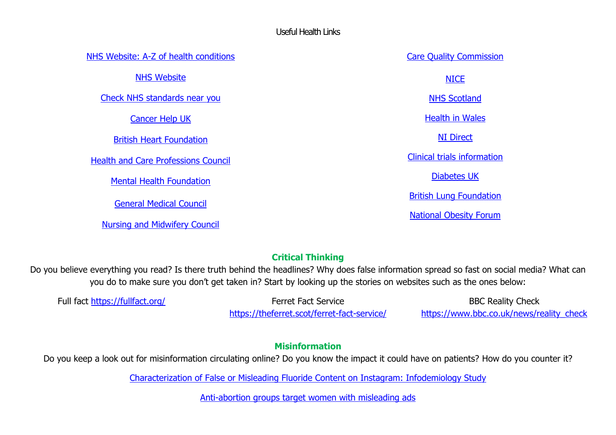#### Useful Health Links

[NHS Website: A-Z of health conditions](http://www.nhs.uk/Conditions/Pages/hub.aspx) [NHS Website](http://www.nhs.uk/Pages/HomePage.aspx) [Check NHS standards near you](http://www.cqc.org.uk/) [Cancer Help UK](http://www.cancerhelp.org.uk/index.htm) [British Heart Foundation](http://www.bhf.org.uk/) [Health and Care Professions Council](http://www.hpc-uk.org/) [Mental Health Foundation](http://www.mentalhealth.org.uk/) [General Medical Council](http://www.gmc-uk.org/) [Nursing and Midwifery Council](http://www.nmc-uk.org/) [Care Quality Commission](http://www.cqc.org.uk/) **[NICE](http://www.nice.org.uk/)** [NHS Scotland](http://www.scot.nhs.uk/) [Health in Wales](http://www.wales.nhs.uk/) [NI Direct](http://www.nidirect.gov.uk/) [Clinical trials information](http://www.ukctg.nihr.ac.uk/default.aspx) [Diabetes UK](http://www.diabetes.org.uk/) [British Lung Foundation](http://www.blf.org.uk/Home) [National Obesity Forum](http://www.nationalobesityforum.org.uk/)

# **Critical Thinking**

Do you believe everything you read? Is there truth behind the headlines? Why does false information spread so fast on social media? What can you do to make sure you don't get taken in? Start by looking up the stories on websites such as the ones below:

Full fact<https://fullfact.org/> Ferret Fact Service <https://theferret.scot/ferret-fact-service/>

BBC Reality Check [https://www.bbc.co.uk/news/reality\\_check](https://www.bbc.co.uk/news/reality_check)

## **Misinformation**

Do you keep a look out for misinformation circulating online? Do you know the impact it could have on patients? How do you counter it?

[Characterization of False or Misleading Fluoride Content on Instagram: Infodemiology Study](https://jmir.us6.list-manage.com/track/click?u=fc0ad3d4d3108cf6a761892f9&id=80da4a6cc0&e=5b74dbe4f0)

[Anti-abortion groups target women with misleading ads](https://www.bbc.co.uk/news/health-61320202?at_medium=RSS&at_campaign=KARANGA)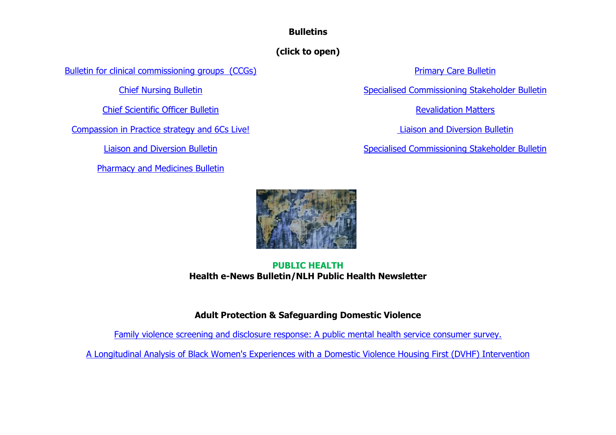## **Bulletins**

# **(click to open)**

[Bulletin for clinical commissioning groups \(CCGs\)](http://www.england.nhs.uk/publications/bulletins/bulletin-for-ccgs/)

[Chief Nursing Bulletin](https://www.england.nhs.uk/email-bulletins/cno-bulletin/)

Chief Scientific Officer Bulletin

[Compassion in Practice strategy and 6Cs Live!](http://www.england.nhs.uk/publications/bulletins/6cs-live-bulletin/)

[Liaison and Diversion Bulletin](https://www.england.nhs.uk/email-bulletins/liaison-and-diversion-bulletin/)

[Pharmacy and Medicines Bulletin](https://www.england.nhs.uk/email-bulletins/pharmacy-and-medicines/)

[Primary Care Bulletin](https://www.england.nhs.uk/email-bulletins/general-practice-bulletin/)

[Specialised Commissioning Stakeholder Bulletin](http://www.england.nhs.uk/publications/bulletins/specialised-comms-bulletin/)

[Revalidation Matters](http://www.england.nhs.uk/publications/bulletins/revalidation-matters/)

[Liaison and Diversion Bulletin](https://www.england.nhs.uk/2015/07/03/ld-bulletin-june15/)

[Specialised Commissioning Stakeholder Bulletin](http://www.england.nhs.uk/publications/bulletins/specialised-comms-bulletin/)



### **PUBLIC HEALTH Health e-News Bulletin/NLH Public Health Newsletter**

## **Adult Protection & Safeguarding Domestic Violence**

[Family violence screening and disclosure response: A public mental health service consumer survey.](https://emeraldopenresearch.com/articles/4-21/v1)

<span id="page-4-0"></span>[A Longitudinal Analysis of Black Women's Experiences with a](https://search.proquest.com/openview/51f229c624943f39bdd157800bfd8726/1?pq-origsite=gscholar&cbl=18750&diss=y) Domestic Violence Housing First (DVHF) Intervention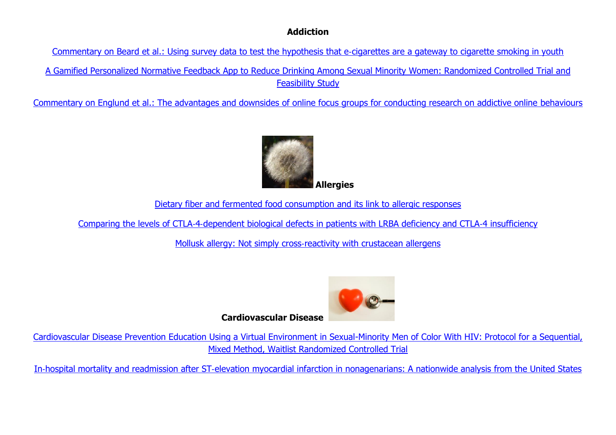### **Addiction**

[Commentary on Beard et al.: Using survey data to test the hypothesis that e](http://el.wiley.com/ls/click?upn=3P-2FFNDAGSso-2BACQqCJSxZQYXuyDFuSyQWVXTOVuATZfE2ZYhBvN14MKB0KVXOLGO8obGng7vSyli3t-2BN6pmypiBmOADQL0BISflWUwt9kgAz-2BTsh-2B5anMldnEg5mH40-2FSXiX7tx8B9AqHwi5idtBkckTu0VP-2B7EyeAHYPzPB0mkwpl2SivrZdqq-2BUkv6UfFu5FGl1Eaza3U-2BnNYANdo0DqN-2BUgJL-2FtjSVSD7fbyC6zLR9Kw6mFSwgrhkQBdOh6KE-2FoezzMlS5MV3TizmlSFeYI1eTlhUqUMD9mtzmaBS4-2FYInfmxZ1NtWHDhOIJBJBGZnetvHvypZ33Ym8HmEo6c310XShEWFvtHomyG0MYbyaCk-2FoA6187QLrNPnX-2FzodWQ86Pux6X7RLytPiBKxZ00j3H92-2BuAM4nDuW8Ckoh4LQA-3D6ZSP_bbTnpkV8nill7Mf6KSTMf66VF9M7aRtCqK6A5QPYoRhUn4KiTc8exobehJOmIG4aAREm1KIWMaIAOZwKxq5RLlBzvxG69k9Q2mRLo44MbKR0EWt2AcOdAmnhPXTERIP4ctsMKVpOwt4MBtN51MCir7gaAfadw43Trln6HHGH0FdVR-2B6udGWLPvz86d9lEmSviL9gvtoo3Amf9uEmfinBonULcWlcQTW5RHIzVHzogh-2BSXkB460zvEcnzLe7neGeuTgkm2HHoZXcWvqGbqWRFXWvdDgbDlAfpVhVF-2BsASb2Q-3D)‐cigarettes are a gateway to cigarette smoking in youth

[A Gamified Personalized Normative Feedback App to Reduce Drinking Among Sexual Minority Women: Randomized Controlled Trial and](https://jmir.us6.list-manage.com/track/click?u=fc0ad3d4d3108cf6a761892f9&id=fb277f318f&e=5b74dbe4f0)  [Feasibility Study](https://jmir.us6.list-manage.com/track/click?u=fc0ad3d4d3108cf6a761892f9&id=fb277f318f&e=5b74dbe4f0)

[Commentary on Englund et al.: The advantages and downsides of online focus groups for conducting research on addictive online](http://el.wiley.com/ls/click?upn=3P-2FFNDAGSso-2BACQqCJSxZQYXuyDFuSyQWVXTOVuATZfE2ZYhBvN14MKB0KVXOLGO8obGng7vSyli3t-2BN6pmypiBmOADQL0BISflWUwt9kgAz-2BTsh-2B5anMldnEg5mH40-2FSXiX7tx8B9AqHwi5idtBkQqcaTGM0np9xSFpQ1D9DReUATKHrWgs4K8cAQ70gxKRmSCYF8ZW8GTg5dnRhr6HxIMAK-2Fgl2FxQlqpUjzo6nAzaEhjJu0g9KLfblJgxRrZcS6ogZmYxqta4qtxSr0pFSL4JQ-2Fil-2BAkdBAXr7KXMd6VH80-2BqrBKMk4mfBeICA8AsYHzu6nfByzQHXyhcjoN6GtC-2FAJZ1N8obHyhmfu1nGHCqZaore6K9NRnzUmr6oka0rDvUrROs3VnZ6jUA5jKrp3y2llmLDf3W3Tu5LzrBFz4-3D0xZO_bbTnpkV8nill7Mf6KSTMf66VF9M7aRtCqK6A5QPYoRhUn4KiTc8exobehJOmIG4asny0CQjrg5DGvlGr2T4E3hSTsRj2WBUOAy-2FgO1cyNfOaln5Xt4-2F4X-2FfEJBRmM7HM0B4gFLiGILYQa8vx08Oj-2BOkgDB825m-2BgJycP8PdehSFAHKSXenIKI6ADJyrP0kW9P20fpa5euAGJDVtiQS5v5Gkq5N-2FHLuwdlnNi6BRzQVUON5XE4P6ZyW0COyhMk-2FRA2nnvTGendBAAh-2FbZ6gViAEaF6o2etQ9jvPP6CUpjv0E-3D) behaviours



[Dietary fiber and fermented food consumption and its link to allergic responses](http://el.wiley.com/ls/click?upn=3P-2FFNDAGSso-2BACQqCJSxZQYXuyDFuSyQWVXTOVuATZfE2ZYhBvN14MKB0KVXOLGO8obGng7vSyli3t-2BN6pmypiBmOADQL0BISflWUwt9kgAz-2BTsh-2B5anMldnEg5mH40-2FSXiX7tx8B9AqHwi5idtBkYiyPMZMbv9-2FttMpRKkJ64xtFhvbz3h4L9-2F19hD-2FHdIsBrk6EKq3ZG97KvyoSbttfr-2BDYAgyxRC9Vcq8OT6Wg6bYjnNxlpAQkVZCcOOwNVduI3pvQiWq4Xktph0TJJV9RLmlXR-2FTv7ZvXE-2BuQzCDevRNVkgZiOOra1p-2BmHDP230-2FcAdmWao82sj4nhEnflB16aORM5jpgZcxZXBSE-2FlqXXeHX5P-2FkJ4ovHjU5SADEJa3G0E7gucu0Gg0h9X4U7fQe12sOaagVCluHCSClOara3I-3DX1Ku_bbTnpkV8nill7Mf6KSTMf66VF9M7aRtCqK6A5QPYoRhUn4KiTc8exobehJOmIG4a1hQvOeR-2Bz3-2F-2BeKLHDnQxz7-2BItK9H6BF4FHMZkNCZz6RqJ6EorqVnMzBamRQSKWNFKpJEStTgr3r2d0dMvHL2yEoYbRCgUnLioAR7V78lFa-2FhYzY6ZrHGbrYkXoU4rZGNqk6F7eW0a2jMq1uu6iKNfXa1doYLLmk2yBewNcwM35fDs9imVWUYIL6Ufhy1Y959O0GjtEsWHKNRJOaCTmBl79oRvtaDM-2FpYWnrmW-2F8qx8k-3D)

Comparing the levels of CTLA‐4‐[dependent biological defects in patients with LRBA deficiency and CTLA](http://el.wiley.com/ls/click?upn=3P-2FFNDAGSso-2BACQqCJSxZQYXuyDFuSyQWVXTOVuATZfE2ZYhBvN14MKB0KVXOLGO8obGng7vSyli3t-2BN6pmypiBmOADQL0BISflWUwt9kgAz-2BTsh-2B5anMldnEg5mH40-2FSXiX7tx8B9AqHwi5idtBkYiyPMZMbv9-2FttMpRKkJ64xtFhvbz3h4L9-2F19hD-2FHdIsBrk6EKq3ZG97KvyoSbttfr-2BDYAgyxRC9Vcq8OT6Wg6bYjnNxlpAQkVZCcOOwNVduI3pvQiWq4Xktph0TJJV9RLmlXR-2FTv7ZvXE-2BuQzCDevRNVkgZiOOra1p-2BmHDP230-2FrxdAaQy1xf9tB9KKxYIigsSp-2B3JbhaT2gMd9I6sGoGzRwIGplUpoTegY41yOmU2duKqqZy8KBoHcCgXjxzcww6QxF9mk-2BzTsE5-2FHfUxDVLQ-3DOOHe_bbTnpkV8nill7Mf6KSTMf66VF9M7aRtCqK6A5QPYoRhUn4KiTc8exobehJOmIG4aOvpZ9VeiQH3-2FmYbun76y-2FjErjvO2u192dSAg1mbNWe0ZatHhsn-2FRq5LaKqLD93dYODW5Pnozx-2FeWsrNxCMd4JZUNtYBZIT9e-2F3-2FL1uUzNh73RHnMey6oSLmizgde5pnrWvFsenkUO4WZ-2FkNLYmGrgNKv6RRohDw5HqtKpdaD7OU4w1fv2PiEYFK7P-2BJwR4HmGcXpCGy8fPJ2E2I4iRMpCoEKWoUztzuLDdpQUu0nSfA-3D)‐4 insufficiency

Mollusk allergy: Not simply cross-[reactivity with crustacean allergens](http://el.wiley.com/ls/click?upn=3P-2FFNDAGSso-2BACQqCJSxZQYXuyDFuSyQWVXTOVuATZfE2ZYhBvN14MKB0KVXOLGO8obGng7vSyli3t-2BN6pmypiBmOADQL0BISflWUwt9kgAz-2BTsh-2B5anMldnEg5mH40-2FSXiX7tx8B9AqHwi5idtBkQVmX2l660olAXy54TWXvwN66hyuzrGR2zIIwt6pRzoCXmJx0bS-2BeQri-2FphGF04KAuhOUKDwSFa-2FIolyUxLhLqHpZ59TeC8lSbObTvXpv57qJnd5ublw5OpMfcAmxylE4GgiwA0-2F0bsWBjQzSZ9qurHwuRUW48hUG6KH5gR1410txAE0WFY-2BFBgwfr4gl0h4MJKv-2F0nEewPVD3p4i28QRfVhz2iTeshwP7DTJyypIfyXE6FHVClXWBRgiYlcyAYIsO-2FmI85qqmlz8UujDs6lDL0-3Dl1dS_bbTnpkV8nill7Mf6KSTMf66VF9M7aRtCqK6A5QPYoRhUn4KiTc8exobehJOmIG4aQ0ODwbjcz33n0lWtmnRIX5VsUQfzDvVmBXS5AwGd4Xj9xTBHWsor8QCsDNCoN-2FDg2eY-2By8-2BaA0bS902njVz8lbasISoousebAg-2F4iatrYXHEr3aR2wbxIXtR8AdResFOt0dBaKme18F3e-2BxzsQfzpR-2F8EiPJVEk3wYvRI78EbrcMzx16drYvxsLvf9Se294edqHcMtDklQnT7EVb8KpTguXgH2Z-2F-2BzTh0xzG22BxN0A-3D)



**Cardiovascular Disease** 

[Cardiovascular Disease Prevention Education Using a Virtual Environment in Sexual-Minority Men of Color With HIV: Protocol for a Sequential,](https://jmir.us6.list-manage.com/track/click?u=fc0ad3d4d3108cf6a761892f9&id=998d62d2de&e=5b74dbe4f0)  [Mixed Method, Waitlist Randomized Controlled Trial](https://jmir.us6.list-manage.com/track/click?u=fc0ad3d4d3108cf6a761892f9&id=998d62d2de&e=5b74dbe4f0)

In‐hospital mortality and readmission after ST‐[elevation myocardial infarction in nonagenarians: A nationwide analysis from the United States](https://onlinelibrary.wiley.com/doi/abs/10.1002/ccd.30227)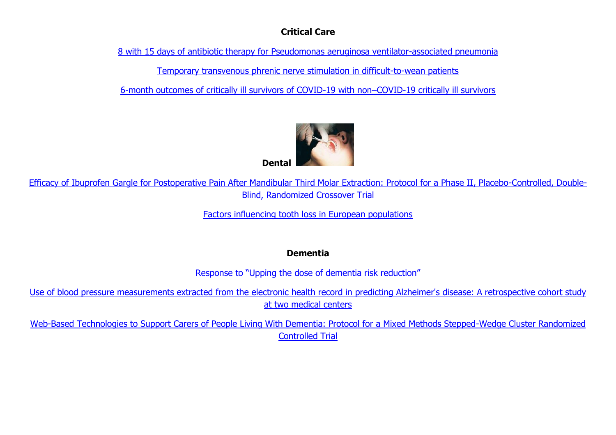### **Critical Care**

[8 with 15 days of antibiotic therapy for Pseudomonas aeruginosa ventilator-associated pneumonia](http://tracking.criticalcarereviews.com/tracking/click?d=3l5bL5Re8S_ljLDdi6DqujsmQ-DyTxvZHTbsOnS34j0CQyk1YHPdMQbvQGcIsFzwyQD3-yh0iRqCy0huJlnouS0_8PMoW17GcXrKPorNgd3oaFTsLYOFGPLP3PNQbmM6v2ZS234IGC6a4KYYwDiooNsPJkcZMv3dq9jnmwDFFf3q_-_KzsxulsGxEPJCOkh3-79m_IwR-53ZR5-pv_6OV8TA-wN_SUswMItP5xNP1VSDpG4FBGhSDuHLnnCSf0ZUDA2)

[Temporary transvenous phrenic nerve stimulation in difficult-to-wean patients](http://tracking.criticalcarereviews.com/tracking/click?d=3l5bL5Re8S_ljLDdi6DqujsmQ-DyTxvZHTbsOnS34j0CQyk1YHPdMQbvQGcIsFzwyQD3-yh0iRqCy0huJlnouS0_8PMoW17GcXrKPorNgd3oaFTsLYOFGPLP3PNQbmM66rqxK6cKo82OOARGa-NO5QtNR48OTz3ky15UH-LueIWFY3EiTxR1WRU03kxcuS4T4AnpLxNxhvpuRWVpIAMSe-_aXsTVbqshtrcydS3tGNQXgHCS5_TFm6Uf6SiIy5oniw2)

[6-month outcomes of critically ill survivors of COVID-19 with non](http://tracking.criticalcarereviews.com/tracking/click?d=3l5bL5Re8S_ljLDdi6DqujsmQ-DyTxvZHTbsOnS34j0CQyk1YHPdMQbvQGcIsFzwyQD3-yh0iRqCy0huJlnouS0_8PMoW17GcXrKPorNgd3oaFTsLYOFGPLP3PNQbmM6yjS5umFUst818Ps0XJcjlQk5ad4wo_5YSDyAwBVdLpyNk8b35znzywJKwD_AIr9nCjyTfwGUoJlblMyG4iCQpQlQpNLKQOUqEr5coUWBbvI2d71J13vaY2NcBUMQPqekmQ2)–COVID-19 critically ill survivors



[Efficacy of Ibuprofen Gargle for Postoperative Pain After Mandibular Third Molar Extraction: Protocol for a Phase II, Placebo-Controlled, Double-](https://jmir.us6.list-manage.com/track/click?u=fc0ad3d4d3108cf6a761892f9&id=d09549aca5&e=5b74dbe4f0)[Blind, Randomized Crossover Trial](https://jmir.us6.list-manage.com/track/click?u=fc0ad3d4d3108cf6a761892f9&id=d09549aca5&e=5b74dbe4f0)

[Factors influencing tooth loss in European populations](https://onlinelibrary.wiley.com/doi/abs/10.1111/jcpe.13642)

**Dementia** 

[Response to "Upping the dose of dementia risk reduction"](http://el.wiley.com/ls/click?upn=3P-2FFNDAGSso-2BACQqCJSxZU-2FA5YHsfRbRerKVcDxa99umpiTop4dCcei5duJWMhHkxGM6M2TCmU6CAXUKn6xkB4AsDw5mxbotQikvg9sQYreWA3jBfug4hBGUQjp-2B6VMoZCVwWRolCTilu9V-2BCXcYGD5a74eDwF0VzN7Whwn-2BAzwHMr4V9rtKJzLpJTh1eoIYfSTwCWycHJHwVqrDWDpVvnB3vqM-2BtlQuR4YXLJY1dlHBQKbf-2B0Orl6OzMoVDtnawpaIqx0HQKoLbxSI8Oxr-2BU7-2BMKz7qqu6vSM9SlqI9OP0wxHFSq4ZaaMFDG4CXA7MsbfIWJPbMPAhfmETJWnGV8ODTkJkT2WPLCyhIgqi3MTECkEPghPuhFrm83rInX6AjUjVS9-2BHzHz2i2Q0VUDaLpZvq7hMHfWdWabvjeXuvV1Axk2ZFco0mrNoXanSZLLU-2FqgFy71qnSv9ebNFRZVqEBg-3D-3DOzP7_bbTnpkV8nill7Mf6KSTMf66VF9M7aRtCqK6A5QPYoRhUn4KiTc8exobehJOmIG4atcKUMHJpAInHda7OGmSUvUOjWHpuHyU-2FlWKrW13v-2B0wP6HwRAn-2FWnyxgB2Fn1aJJ-2FhpsuZyj11chTbmQOj4DTUQBwHUOMJQWt6FejU3Nfux5nVk73WUWRUyWu4xxAd-2F4Pg0McNYbQYOpYr1mwFFeSRKu35graSDZ866GkbrBrgtLOL86qf2qNVJUpUG-2FP4-2BdBkzYgG3FdDzD-2Fbng4fb3CUPNQ-2FoBk3KbkKc1mRtxt1g-3D)

[Use of blood pressure measurements extracted from the electronic health record in predicting Alzheimer's disease: A retrospective cohort study](http://el.wiley.com/ls/click?upn=3P-2FFNDAGSso-2BACQqCJSxZU-2FA5YHsfRbRerKVcDxa99umpiTop4dCcei5duJWMhHkxGM6M2TCmU6CAXUKn6xkB4AsDw5mxbotQikvg9sQYreWA3jBfug4hBGUQjp-2B6VMoZCVwWRolCTilu9V-2BCXcYGD5a74eDwF0VzN7Whwn-2BAzy1r2W9KPXNQgLZr8HnHB1jqDbIDcdJx2DjE1-2FrkXfn3Lfv98Zs066pwiR5t29eFeoN6BrSlT1zvpPms9bIZJAjgPpWn0J2oKpkV-2BVK2q1hMndowRdCKAx8ft2wZZw9xxoXAFRScl7PFB2u2xgkAuA-2FUfIKdISacSIarhEBaCguUXwv9qe3-2BR9Ly9UAYqgJZXxx5Blad5ZcKSMMBLRKAQqoDDG7LrY-2BkhbPHc-2BNJ9xz7VqmW1vUFlP37cQrxovVAX5pYi-2B5ZGEWSdsGVwV7VhwWAfgqtZ4mSAbP7AcTt1bXfQ-3D-3D5KKH_bbTnpkV8nill7Mf6KSTMf66VF9M7aRtCqK6A5QPYoRhUn4KiTc8exobehJOmIG4a9YvC4pgtx03M2LtJSZ67O4XXSzUUjwmdHUZ-2BCU1OPwWjmXbQZ1-2FWkbgKaQ4XmgtQomsBI-2Fp1z1Ljcnr-2F45g5BetlSeulzXuRMtcp0A4t85fzzbbQlIPCAZAkKBOFe9-2FwzyoWz9EGABV3-2BNDc7np9g4lVqhTHy5FGGaLS-2B4hSbDw7XSfgbPoy46Zfta4t-2FKSwoj7mnfNJOklwtZiivFnaKM0eIW0e-2F1SgxVnOmmOY1PE-3D)  at two [medical centers](http://el.wiley.com/ls/click?upn=3P-2FFNDAGSso-2BACQqCJSxZU-2FA5YHsfRbRerKVcDxa99umpiTop4dCcei5duJWMhHkxGM6M2TCmU6CAXUKn6xkB4AsDw5mxbotQikvg9sQYreWA3jBfug4hBGUQjp-2B6VMoZCVwWRolCTilu9V-2BCXcYGD5a74eDwF0VzN7Whwn-2BAzy1r2W9KPXNQgLZr8HnHB1jqDbIDcdJx2DjE1-2FrkXfn3Lfv98Zs066pwiR5t29eFeoN6BrSlT1zvpPms9bIZJAjgPpWn0J2oKpkV-2BVK2q1hMndowRdCKAx8ft2wZZw9xxoXAFRScl7PFB2u2xgkAuA-2FUfIKdISacSIarhEBaCguUXwv9qe3-2BR9Ly9UAYqgJZXxx5Blad5ZcKSMMBLRKAQqoDDG7LrY-2BkhbPHc-2BNJ9xz7VqmW1vUFlP37cQrxovVAX5pYi-2B5ZGEWSdsGVwV7VhwWAfgqtZ4mSAbP7AcTt1bXfQ-3D-3D5KKH_bbTnpkV8nill7Mf6KSTMf66VF9M7aRtCqK6A5QPYoRhUn4KiTc8exobehJOmIG4a9YvC4pgtx03M2LtJSZ67O4XXSzUUjwmdHUZ-2BCU1OPwWjmXbQZ1-2FWkbgKaQ4XmgtQomsBI-2Fp1z1Ljcnr-2F45g5BetlSeulzXuRMtcp0A4t85fzzbbQlIPCAZAkKBOFe9-2FwzyoWz9EGABV3-2BNDc7np9g4lVqhTHy5FGGaLS-2B4hSbDw7XSfgbPoy46Zfta4t-2FKSwoj7mnfNJOklwtZiivFnaKM0eIW0e-2F1SgxVnOmmOY1PE-3D)

[Web-Based Technologies to Support Carers of People Living With Dementia: Protocol for a Mixed Methods Stepped-Wedge Cluster Randomized](https://jmir.us6.list-manage.com/track/click?u=fc0ad3d4d3108cf6a761892f9&id=b0ce1d5806&e=5b74dbe4f0)  [Controlled Trial](https://jmir.us6.list-manage.com/track/click?u=fc0ad3d4d3108cf6a761892f9&id=b0ce1d5806&e=5b74dbe4f0)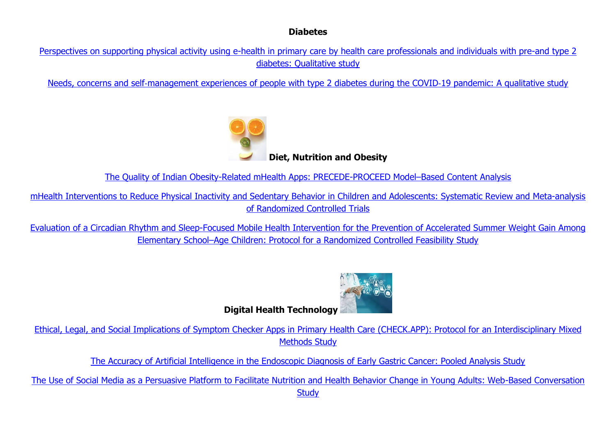### **Diabetes**

[Perspectives on supporting physical activity using e-health in primary care by health care professionals and individuals with pre-and type 2](https://preprints.jmir.org/preprint/39474)  [diabetes: Qualitative study](https://preprints.jmir.org/preprint/39474)

Needs, concerns and self‐[management experiences of people with type 2](https://onlinelibrary.wiley.com/doi/abs/10.1111/dme.14883) diabetes during the COVID‐19 pandemic: A qualitative study



**Diet, Nutrition and Obesity** 

[The Quality of Indian Obesity-Related mHealth Apps: PRECEDE-PROCEED Model](https://jmir.us6.list-manage.com/track/click?u=fc0ad3d4d3108cf6a761892f9&id=463055a0a8&e=5b74dbe4f0)–Based Content Analysis

[mHealth Interventions to Reduce Physical Inactivity and Sedentary Behavior in Children and Adolescents: Systematic Review and](https://jmir.us6.list-manage.com/track/click?u=fc0ad3d4d3108cf6a761892f9&id=c3eab16e63&e=5b74dbe4f0) Meta-analysis [of Randomized Controlled Trials](https://jmir.us6.list-manage.com/track/click?u=fc0ad3d4d3108cf6a761892f9&id=c3eab16e63&e=5b74dbe4f0)

[Evaluation of a Circadian Rhythm and Sleep-Focused Mobile Health Intervention for the Prevention of Accelerated Summer Weight Gain Among](https://jmir.us6.list-manage.com/track/click?u=fc0ad3d4d3108cf6a761892f9&id=f4852b79b2&e=5b74dbe4f0)  Elementary School–[Age Children: Protocol for a Randomized Controlled Feasibility Study](https://jmir.us6.list-manage.com/track/click?u=fc0ad3d4d3108cf6a761892f9&id=f4852b79b2&e=5b74dbe4f0)



**Digital Health Technology**

[Ethical, Legal, and Social Implications of Symptom Checker Apps in Primary Health Care \(CHECK.APP\): Protocol for an Interdisciplinary Mixed](https://jmir.us6.list-manage.com/track/click?u=fc0ad3d4d3108cf6a761892f9&id=e088cdbd3a&e=5b74dbe4f0)  [Methods Study](https://jmir.us6.list-manage.com/track/click?u=fc0ad3d4d3108cf6a761892f9&id=e088cdbd3a&e=5b74dbe4f0)

[The Accuracy of Artificial Intelligence in the Endoscopic Diagnosis of Early Gastric Cancer: Pooled Analysis Study](https://jmir.us6.list-manage.com/track/click?u=fc0ad3d4d3108cf6a761892f9&id=34bd1e9152&e=5b74dbe4f0)

[The Use of Social Media as a Persuasive Platform to Facilitate Nutrition and Health Behavior Change in Young Adults: Web-Based Conversation](https://jmir.us6.list-manage.com/track/click?u=fc0ad3d4d3108cf6a761892f9&id=9e3576350a&e=5b74dbe4f0)  **[Study](https://jmir.us6.list-manage.com/track/click?u=fc0ad3d4d3108cf6a761892f9&id=9e3576350a&e=5b74dbe4f0)**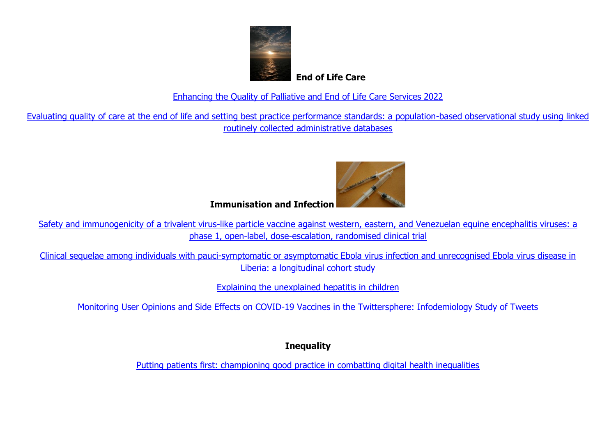

 **End of Life Care**

[Enhancing the Quality of Palliative and](https://palliativecarenwpctl.wordpress.com/2022/05/16/enhancing-the-quality-of-palliative-and-end-of-life-care-services-2022/?utm_source=feedburner&utm_medium=email) End of Life Care Services 2022

[Evaluating quality of care at the end of life and setting best practice performance standards: a population-based observational study using linked](https://palliativecarenwpctl.wordpress.com/2022/05/16/evaluating-quality-of-care-at-the-end-of-life-and-setting-best-practice-performance-standards-a-population-based-observational-study-using-linked-routinely-collected-administrative-databases/?utm_source=feedburner&utm_medium=email)  routinely [collected administrative databases](https://palliativecarenwpctl.wordpress.com/2022/05/16/evaluating-quality-of-care-at-the-end-of-life-and-setting-best-practice-performance-standards-a-population-based-observational-study-using-linked-routinely-collected-administrative-databases/?utm_source=feedburner&utm_medium=email)



**Immunisation and Infection** 

[Safety and immunogenicity of a trivalent virus-like particle vaccine against western, eastern, and Venezuelan equine encephalitis viruses: a](https://click.notification.elsevier.com/CL0/https:%2F%2Fwww.thelancet.com%2Fjournals%2Flaninf%2Farticle%2FPIIS1473-3099(22)00052-4%2Ffulltext%3Fdgcid=raven_jbs_aip_email/1/01000180d0dcdd84-e54d1796-84ee-449d-b12a-ab593985ef91-000000/DslTg6OC-E3QUGT2hJeiEI9jeLjphKHRNtWo-I7iJ2M=249)  [phase 1, open-label, dose-escalation, randomised clinical trial](https://click.notification.elsevier.com/CL0/https:%2F%2Fwww.thelancet.com%2Fjournals%2Flaninf%2Farticle%2FPIIS1473-3099(22)00052-4%2Ffulltext%3Fdgcid=raven_jbs_aip_email/1/01000180d0dcdd84-e54d1796-84ee-449d-b12a-ab593985ef91-000000/DslTg6OC-E3QUGT2hJeiEI9jeLjphKHRNtWo-I7iJ2M=249)

[Clinical sequelae among individuals with pauci-symptomatic or asymptomatic Ebola virus infection and unrecognised Ebola virus disease in](https://click.notification.elsevier.com/CL0/https:%2F%2Fwww.thelancet.com%2Fjournals%2Flaninf%2Farticle%2FPIIS1473-3099(22)00127-X%2Ffulltext%3Fdgcid=raven_jbs_aip_email/1/01000180d0dcdd84-e54d1796-84ee-449d-b12a-ab593985ef91-000000/9Kt-KIG15YJq1g_AHtjyDWFfkCo0eVwW8LOMZ_whIwU=249)  [Liberia: a longitudinal cohort study](https://click.notification.elsevier.com/CL0/https:%2F%2Fwww.thelancet.com%2Fjournals%2Flaninf%2Farticle%2FPIIS1473-3099(22)00127-X%2Ffulltext%3Fdgcid=raven_jbs_aip_email/1/01000180d0dcdd84-e54d1796-84ee-449d-b12a-ab593985ef91-000000/9Kt-KIG15YJq1g_AHtjyDWFfkCo0eVwW8LOMZ_whIwU=249)

[Explaining the unexplained hepatitis in children](https://click.notification.elsevier.com/CL0/https:%2F%2Fwww.thelancet.com%2Fjournals%2Flaninf%2Farticle%2FPIIS1473-3099(22)00296-1%2Ffulltext%3Fdgcid=raven_jbs_aip_email/1/01000180d0dcdd84-e54d1796-84ee-449d-b12a-ab593985ef91-000000/EiXZNO6iwiOfPPoKXhZn6c0PY77La72PZCdnnU-aqTQ=249)

[Monitoring User Opinions and Side Effects on COVID-19 Vaccines in the Twittersphere: Infodemiology Study of Tweets](https://jmir.us6.list-manage.com/track/click?u=fc0ad3d4d3108cf6a761892f9&id=bb6be22dc5&e=5b74dbe4f0)

**Inequality** 

[Putting patients first: championing good practice in combatting digital health inequalities](https://kingsfundmail.org.uk/21A8-7UY92-JQQP8A-4SSM1J-1/c.aspx)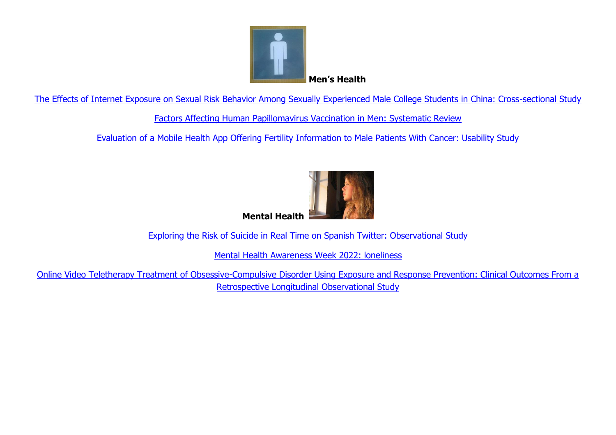

[The Effects of Internet Exposure on Sexual Risk Behavior Among Sexually Experienced Male College Students in China: Cross-sectional Study](https://jmir.us6.list-manage.com/track/click?u=fc0ad3d4d3108cf6a761892f9&id=6ac0772e2c&e=5b74dbe4f0)

[Factors Affecting Human Papillomavirus Vaccination in Men: Systematic Review](https://jmir.us6.list-manage.com/track/click?u=fc0ad3d4d3108cf6a761892f9&id=45f3477af7&e=5b74dbe4f0)

[Evaluation of a Mobile Health App Offering Fertility Information to Male Patients With Cancer: Usability Study](https://jmir.us6.list-manage.com/track/click?u=fc0ad3d4d3108cf6a761892f9&id=940fb179b6&e=5b74dbe4f0)



[Exploring the Risk of Suicide in Real Time on Spanish Twitter: Observational Study](https://jmir.us6.list-manage.com/track/click?u=fc0ad3d4d3108cf6a761892f9&id=db12508859&e=5b74dbe4f0)

[Mental Health Awareness Week 2022: loneliness](https://commonslibrary.parliament.uk/mental-health-awareness-week-2022-loneliness/?utm_source=The%20King%27s%20Fund%20newsletters%20%28main%20account%29&utm_medium=email&utm_campaign=13177902_NEWSK_HWB-2022-05-16&dm_i=21A8,7UG4U,JQQP8A,W2KXG,1)

Online Video Teletherapy [Treatment of Obsessive-Compulsive Disorder Using Exposure and Response Prevention: Clinical Outcomes From a](https://jmir.us6.list-manage.com/track/click?u=fc0ad3d4d3108cf6a761892f9&id=7ed8792007&e=5b74dbe4f0)  [Retrospective Longitudinal Observational Study](https://jmir.us6.list-manage.com/track/click?u=fc0ad3d4d3108cf6a761892f9&id=7ed8792007&e=5b74dbe4f0)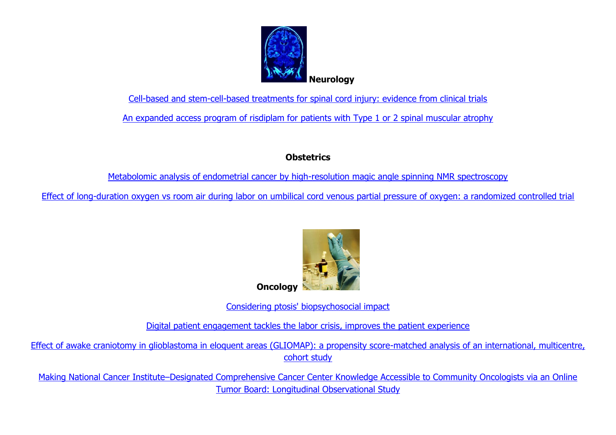

[Cell-based and stem-cell-based treatments for spinal cord injury: evidence from clinical trials](https://click.notification.elsevier.com/CL0/https:%2F%2Fwww.thelancet.com%2Fjournals%2Flaneur%2Farticle%2FPIIS1474-4422(21)00464-6%2Ffulltext%3Fdgcid=raven_jbs_aip_email/1/01000180db2f1bf2-fd269f08-8e3a-4618-9c4b-66f474b77656-000000/-as-se7yHmzy5M0e2KAzJlMCeNuE37SosCEoVi18MA0=249)

[An expanded access program of risdiplam for patients with Type 1 or 2 spinal muscular atrophy](https://onlinelibrary.wiley.com/doi/abs/10.1002/acn3.51560)

# **Obstetrics**

[Metabolomic analysis of endometrial cancer by high-resolution magic angle spinning NMR spectroscopy](https://link.springer.com/article/10.1007/s00404-022-06587-0)

[Effect of long-duration oxygen vs room air during labor on umbilical cord venous partial pressure of oxygen: a randomized controlled trial](https://www.sciencedirect.com/science/article/pii/S0002937822003738)



**Oncology** 

[Considering ptosis' biopsychosocial impact](https://click.email.ophthalmologytimes.com/?qs=ad398a471283f30d199347c115d260c11fa35d08a57422a9007026e0c2c94cbc2ec0dcabadd8bac1412f1e61b5cf590529a63f679dff347e81432a0bb3e71213)

[Digital patient engagement tackles the labor crisis, improves the patient experience](https://click.email.ophthalmologytimes.com/?qs=ad398a471283f30d423c65c830d164b5783f0e497ccfed7c6dbe5fa6a08d05785549c4861de768c10e55103e025902105200b7f72d8a8b36ffab03d8be7bb032)

[Effect of awake craniotomy in glioblastoma in eloquent areas \(GLIOMAP\): a propensity score-matched analysis of an international, multicentre,](https://click.notification.elsevier.com/CL0/https:%2F%2Fwww.thelancet.com%2Fjournals%2Flanonc%2Farticle%2FPIIS1470-2045(22)00213-3%2Ffulltext%3Fdgcid=raven_jbs_aip_email/1/01000180cbb4fe53-ed6f1aa5-15fb-4def-b4b1-4aef8ba63f8b-000000/1y5hOhimnBxcHzJb_qtWBao3TUCTZukJVsxBVKyuUXs=249)  [cohort study](https://click.notification.elsevier.com/CL0/https:%2F%2Fwww.thelancet.com%2Fjournals%2Flanonc%2Farticle%2FPIIS1470-2045(22)00213-3%2Ffulltext%3Fdgcid=raven_jbs_aip_email/1/01000180cbb4fe53-ed6f1aa5-15fb-4def-b4b1-4aef8ba63f8b-000000/1y5hOhimnBxcHzJb_qtWBao3TUCTZukJVsxBVKyuUXs=249)

Making National Cancer Institute–[Designated Comprehensive Cancer Center Knowledge Accessible to Community Oncologists via an Online](https://jmir.us6.list-manage.com/track/click?u=fc0ad3d4d3108cf6a761892f9&id=7683dce05c&e=5b74dbe4f0)  [Tumor Board: Longitudinal Observational Study](https://jmir.us6.list-manage.com/track/click?u=fc0ad3d4d3108cf6a761892f9&id=7683dce05c&e=5b74dbe4f0)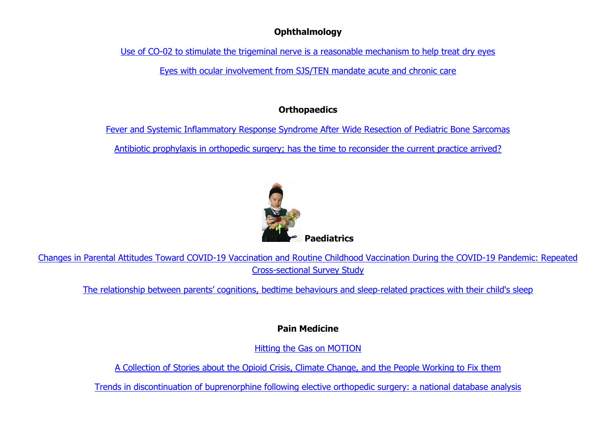### **Ophthalmology**

[Use of CO-02 to stimulate the trigeminal nerve is](https://click.email.ophthalmologytimes.com/?qs=8d80a98cd5ea09d20e2902c71fba985ba901363f33bfa8077cbdd02509ce1d08ac597052d8fe718fcba04ce0b4a968a4ee08942e1fd67c5e4119aa6938f736d5) a reasonable mechanism to help treat dry eyes

[Eyes with ocular involvement from SJS/TEN mandate acute and chronic care](https://click.email.ophthalmologytimes.com/?qs=8d80a98cd5ea09d29c1a1363d952a99ad04df5c3a64e5bc1a03a4ea578a76f9cd80146db5d862a13c3070568edc65fd02623c564246efd5bf7a1298e37c03c0a)

# **Orthopaedics**

[Fever and Systemic Inflammatory Response Syndrome After Wide Resection of Pediatric Bone Sarcomas](https://journals.lww.com/pedorthopaedics/Fulltext/9900/Fever_and_Systemic_Inflammatory_Response_Syndrome.30.aspx)

[Antibiotic prophylaxis in orthopedic surgery; has the time to reconsider the current practice arrived?](https://www.sciencedirect.com/science/article/pii/S0972978X22001040)



[Changes in Parental Attitudes Toward COVID-19 Vaccination and Routine Childhood Vaccination During the COVID-19 Pandemic: Repeated](https://jmir.us6.list-manage.com/track/click?u=fc0ad3d4d3108cf6a761892f9&id=bfe4f28bdf&e=5b74dbe4f0) [Cross-sectional Survey Study](https://jmir.us6.list-manage.com/track/click?u=fc0ad3d4d3108cf6a761892f9&id=bfe4f28bdf&e=5b74dbe4f0)

[The relationship between parents' cognitions, bedtime behaviours and sleep](http://el.wiley.com/ls/click?upn=3P-2FFNDAGSso-2BACQqCJSxZQYXuyDFuSyQWVXTOVuATZfE2ZYhBvN14MKB0KVXOLGO8obGng7vSyli3t-2BN6pmypiBmOADQL0BISflWUwt9kgAz-2BTsh-2B5anMldnEg5mH40-2FSXiX7tx8B9AqHwi5idtBkYc-2BunS8pKJA2T0PtvwSLKz-2FhOQqb-2BiX-2FzKSOT6ChWq4rLEVicOZJtwai2SodSKwwx-2BHRrcK8-2Fj8ttRkEDfkreeBO2lrAOqVZIZ7JS3LDjq0zazoo6ABGirgAWIS2bQ8kU81g5m4iRuzqrasfBm5StXoeQfK-2B3oH9vDyn2T4vpMV7v83oQD5c8oAl5ITKH0svA9sEpZxj6L4uBN4IVkHplij3YPsmvT0zhWKylXh4yk4y5U-2FPUyHbVwDb8VY7Wt0BTsAyIS80k3fp7bvEHK0fyE-3DoS0p_bbTnpkV8nill7Mf6KSTMf66VF9M7aRtCqK6A5QPYoRhUn4KiTc8exobehJOmIG4aj58wEMNy5qUeAhIAqT7uJn9exW7ILV1-2FVrGDlKYWnbT6yrpaz2UOXQ4wK4Nj15i28LH3KdsYwufc-2FzZmfUio6DV4fBrFEmTH4ZboG6s-2Bij4idrKmIyAbtmkjFWXDSmeH1ACJ9aYqbyYT8ZEksFNJhVtpM-2F1D6gFxaACe4WvVkD3PHnX8CcmpKBHKBq6PaJN51LIMT-2BEzlSW4RKGxpAo7VI7rXZuhXry19WLb1KZtyro-3D)‐related practices with their child's sleep

# **Pain Medicine**

[Hitting the Gas on MOTION](https://academic.oup.com/painmedicine/advance-article-abstract/doi/10.1093/pm/pnac060/6585880)

[A Collection of Stories about the Opioid Crisis, Climate Change, and the People Working to Fix them](https://jscholarship.library.jhu.edu/handle/1774.2/66921)

[Trends in discontinuation of buprenorphine following elective orthopedic surgery: a national database analysis](https://rapm.bmj.com/content/early/2022/05/10/rapm-2022-103592.abstract)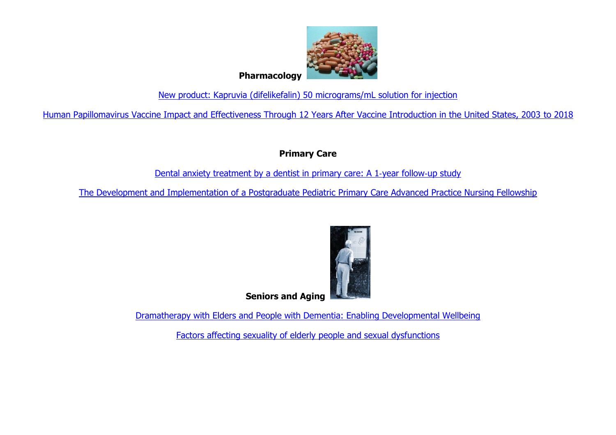

[New product: Kapruvia \(difelikefalin\) 50 micrograms/mL solution for injection](https://nice.us8.list-manage.com/track/click?u=7864f766b10b8edd18f19aa56&id=e1b9c5ab32&e=8bd6fdb7df) 

[Human Papillomavirus Vaccine Impact and Effectiveness Through 12 Years After Vaccine Introduction in the United States, 2003 to 2018](https://nice.us8.list-manage.com/track/click?u=7864f766b10b8edd18f19aa56&id=e82c3803e3&e=8bd6fdb7df) 

**Primary Care**

[Dental anxiety treatment by a dentist in](https://onlinelibrary.wiley.com/doi/abs/10.1111/eos.12872) primary care: A 1-year follow-up study

[The Development and Implementation of a Postgraduate Pediatric](https://www.sciencedirect.com/science/article/pii/S0891524522000876) Primary Care Advanced Practice Nursing Fellowship



**Seniors and Aging** 

Dramatherapy with Elders and People [with Dementia: Enabling Developmental Wellbeing](https://www.taylorfrancis.com/books/mono/10.4324/9781003186328/dramatherapy-elders-people-dementia-joanna-jaaniste)

[Factors affecting sexuality of elderly](https://apcz.umk.pl/JEHS/article/view/38328) people and sexual dysfunctions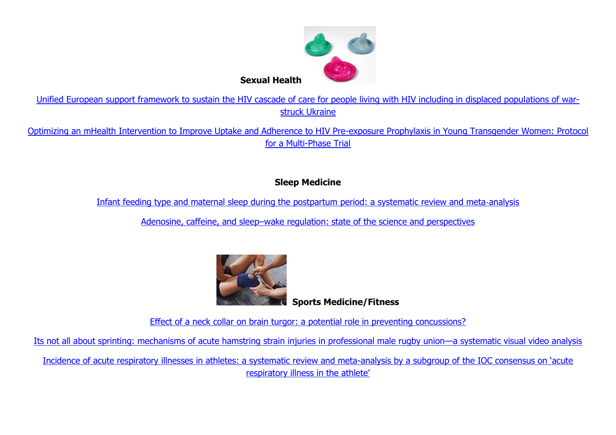

[Unified European support framework to sustain the HIV cascade of care for people living with HIV including in displaced populations of war](https://click.notification.elsevier.com/CL0/https:%2F%2Fwww.thelancet.com%2Fjournals%2Flanhiv%2Farticle%2FPIIS2352-3018(22)00125-4%2Ffulltext%3Fdgcid=raven_jbs_aip_email/1/01000180db2924b6-26a74126-2929-4063-9e1c-1cb7cc978ffc-000000/C8XyNCYV3pFdWXFo1iqRZHamdjHpyOYl52XKFE3OPS0=249)[struck Ukraine](https://click.notification.elsevier.com/CL0/https:%2F%2Fwww.thelancet.com%2Fjournals%2Flanhiv%2Farticle%2FPIIS2352-3018(22)00125-4%2Ffulltext%3Fdgcid=raven_jbs_aip_email/1/01000180db2924b6-26a74126-2929-4063-9e1c-1cb7cc978ffc-000000/C8XyNCYV3pFdWXFo1iqRZHamdjHpyOYl52XKFE3OPS0=249)

[Optimizing an mHealth Intervention to Improve Uptake and Adherence to HIV Pre-exposure Prophylaxis in Young Transgender Women: Protocol](https://jmir.us6.list-manage.com/track/click?u=fc0ad3d4d3108cf6a761892f9&id=31e36f7999&e=5b74dbe4f0)  [for a Multi-Phase Trial](https://jmir.us6.list-manage.com/track/click?u=fc0ad3d4d3108cf6a761892f9&id=31e36f7999&e=5b74dbe4f0)

# **Sleep Medicine**

[Infant feeding type and maternal sleep during the postpartum period: a systematic review and meta](http://el.wiley.com/ls/click?upn=3P-2FFNDAGSso-2BACQqCJSxZQYXuyDFuSyQWVXTOVuATZfE2ZYhBvN14MKB0KVXOLGO8obGng7vSyli3t-2BN6pmypiBmOADQL0BISflWUwt9kgAz-2BTsh-2B5anMldnEg5mH40-2FSXiX7tx8B9AqHwi5idtBkZ2kDQcmBGfuUHyPervZqOQMVhq78MyWcoBvGh9BlLmOXSyvvQb3NwFRPoNkvfpiOeXqEKoewFVj9xKmCGRFlajLmE1o2emMH80sD9M-2BayKKpyHYk1KnweOPE3rvugAhSajdCK9iHLKUuHYkwfhLdSHX7fuRo0ZjoGAho00AU8Wv4KCSEyprFYNHt50Lt3bzi5nMhk0BvV-2BM-2B-2FRUO0vDEnGzAh9m1mR4l6DrPUCRshum6yfB4qFq9nrZLoM6-2BTmcZOWjnFLj9ANqJIBAxFs7lSY-3DonIX_bbTnpkV8nill7Mf6KSTMf66VF9M7aRtCqK6A5QPYoRhUn4KiTc8exobehJOmIG4aV4PLheUDdAWT-2B2-2F95MeU6-2FilrESLJvHcmTnvUceq9vtpw8XNjCTPJ3IDGsDDWbq3SveK7LeLJIcQNhqIgQhfxGOdrM01Y5WKDDK85X0TuVAGKCG0ZY-2Fk7ObhRH5m5aMhz0qU9rD0Q60ix1ED1CkwYT6r-2FUZYOko9Cw4wuhTzpia3Gs4EF3-2FVtGziNc4JHZ7C8xcKq2c-2Bg2UjhrZf4fy1pgOCe9Ay5PNSWTxwwG5Aft0-3D)‐analysis

Adenosine, caffeine, and sleep–[wake regulation: state of the science and perspectives](http://el.wiley.com/ls/click?upn=3P-2FFNDAGSso-2BACQqCJSxZQYXuyDFuSyQWVXTOVuATZfE2ZYhBvN14MKB0KVXOLGO8obGng7vSyli3t-2BN6pmypiBmOADQL0BISflWUwt9kgAz-2BTsh-2B5anMldnEg5mH40-2FSXiX7tx8B9AqHwi5idtBkQCpOjdHlsSlJC4LMn8Sq2hAmwKQS1bdy9CvEkOi3ZBvHOON1lHv54SmuPZHBnv7cluNOOyeih6FQ8uWOVwcveNjNeM2X66dTdvoBPLLjB9sIeAU7-2FzwrhnrUzPeB4p9DcLYBAGF7Z77a3fDljqRrXxIbemATFXI46tWqIdgQ7BZubxSGdgFPfL-2BFrxO7-2BTJsAZ4aejNUfyAPgsUsE1CSMcdiJQ1qRW3t2htsnSWTmRLf4RRlZvwU1jtvRk3IkykgjDhGkSKEbLS9BLYQfqahks-3DCc73_bbTnpkV8nill7Mf6KSTMf66VF9M7aRtCqK6A5QPYoRhUn4KiTc8exobehJOmIG4at7Yz9BPb-2FWLsAufpkxfoYu4hOEi3JOEiJGqpGU0-2BWwvUXn2gdZKpgSieeE5dVZi5eRLO1AJjR3UJKtbPhaS3erEGCAXiTkpehhbUwKReaH3-2F-2BjP9jGkf-2BlzaBsxwrEALUCJbzG-2FthV0tVRMafZLuciZka-2BsM7dy9YXT17fWdECVPV7hIZBB1mG4ZIk6-2B-2FkNryI2fA42SvayxG4X9uqMZBgMuK1UGhHpIPE2nOgQvig8-3D)



**Sports Medicine/Fitness**

[Effect of a neck collar on brain turgor: a potential role in preventing concussions?](http://emails.bmj.com/c/1sAKXBkEebFAI6Rq2CNWHvVX76)

[Its not all about sprinting: mechanisms of acute hamstring strain injuries in professional male rugby union](http://emails.bmj.com/c/1sAL0qRNr9QQGFYcsDVe7qWZ5m)—a systematic visual video analysis

[Incidence of acute respiratory illnesses in athletes: a systematic review and meta-](http://emails.bmj.com/c/1sAL3goWE826Ff4YSF2vxlY13C)analysis by a subgroup of the IOC consensus on 'acute [respiratory illness in the athlete'](http://emails.bmj.com/c/1sAL3goWE826Ff4YSF2vxlY13C)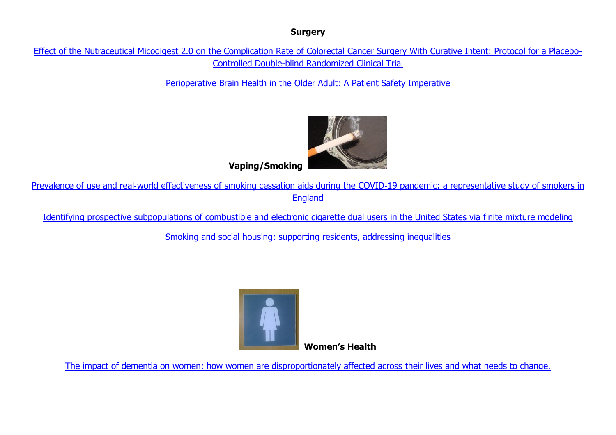### **Surgery**

[Effect of the Nutraceutical Micodigest 2.0 on the Complication Rate of Colorectal Cancer Surgery With](https://jmir.us6.list-manage.com/track/click?u=fc0ad3d4d3108cf6a761892f9&id=7e3ca2bdf2&e=5b74dbe4f0) Curative Intent: Protocol for a Placebo-[Controlled Double-blind Randomized Clinical Trial](https://jmir.us6.list-manage.com/track/click?u=fc0ad3d4d3108cf6a761892f9&id=7e3ca2bdf2&e=5b74dbe4f0)

[Perioperative Brain Health in the Older Adult: A Patient Safety Imperative](https://journals.lww.com/anesthesia-analgesia/Fulltext/9900/Perioperative_Brain_Health_in_the_Older_Adult__A.374.aspx)



**Vaping/Smoking** 

Prevalence of use and real‐[world effectiveness of smoking cessation aids during the COVID](http://el.wiley.com/ls/click?upn=3P-2FFNDAGSso-2BACQqCJSxZQYXuyDFuSyQWVXTOVuATZfE2ZYhBvN14MKB0KVXOLGO8obGng7vSyli3t-2BN6pmypiBmOADQL0BISflWUwt9kgAz-2BTsh-2B5anMldnEg5mH40-2FSXiX7tx8B9AqHwi5idtBkUDDEoX97Hw2IbS00FvJgmMbd1airWSH0LDQP67zb8aN33vwvp1twwtNi-2FQJI5V-2BuyY0nVFolRbTA8yQpUkMKGdgz5EVMxLSMaodhJTQXwjie8-2F0FulHAdsfqNG-2FeARuxoeRY5xKT9KQ5iM3nIWSUIC1ozvH5IjChiiMk25tntPHMebrR-2F38ddw-2BuKFcFTmCRIDyg2Ygjf-2FaHjtb4onf6RxwO6ss3rTk66SfvU2AHEhgBDEmKMxJhk7PLZx1v-2FWu6lb7yoOeI52aqU-2FcefRaR6o-3DQKcp_bbTnpkV8nill7Mf6KSTMf66VF9M7aRtCqK6A5QPYoRhUn4KiTc8exobehJOmIG4acKvLa114KGW1CTmjZGCerxy7XeedhkuiFLPT26kPjmBZ7wFSEU04nfQjkQ7jq2MeB60TQAJIvbI2I2aLsOSBQyv7Hmlk17ebRWLOSeT8kkUqaerjxHTyPsWREPeiHtnCYxuiAy57rn4yMiVrIDcr3BrCPHx9uopYszl0LKrg5s3H81b9ng07sxJYZT8-2Bdr6gFJu1d5370ofG4XID8BFFpMHDo7t0DBHRPhYm6Swb-2FUmlj07NspeT7SsZFwc1gEyA)‐19 pandemic: a representative study of smokers in **[England](http://el.wiley.com/ls/click?upn=3P-2FFNDAGSso-2BACQqCJSxZQYXuyDFuSyQWVXTOVuATZfE2ZYhBvN14MKB0KVXOLGO8obGng7vSyli3t-2BN6pmypiBmOADQL0BISflWUwt9kgAz-2BTsh-2B5anMldnEg5mH40-2FSXiX7tx8B9AqHwi5idtBkUDDEoX97Hw2IbS00FvJgmMbd1airWSH0LDQP67zb8aN33vwvp1twwtNi-2FQJI5V-2BuyY0nVFolRbTA8yQpUkMKGdgz5EVMxLSMaodhJTQXwjie8-2F0FulHAdsfqNG-2FeARuxoeRY5xKT9KQ5iM3nIWSUIC1ozvH5IjChiiMk25tntPHMebrR-2F38ddw-2BuKFcFTmCRIDyg2Ygjf-2FaHjtb4onf6RxwO6ss3rTk66SfvU2AHEhgBDEmKMxJhk7PLZx1v-2FWu6lb7yoOeI52aqU-2FcefRaR6o-3DQKcp_bbTnpkV8nill7Mf6KSTMf66VF9M7aRtCqK6A5QPYoRhUn4KiTc8exobehJOmIG4acKvLa114KGW1CTmjZGCerxy7XeedhkuiFLPT26kPjmBZ7wFSEU04nfQjkQ7jq2MeB60TQAJIvbI2I2aLsOSBQyv7Hmlk17ebRWLOSeT8kkUqaerjxHTyPsWREPeiHtnCYxuiAy57rn4yMiVrIDcr3BrCPHx9uopYszl0LKrg5s3H81b9ng07sxJYZT8-2Bdr6gFJu1d5370ofG4XID8BFFpMHDo7t0DBHRPhYm6Swb-2FUmlj07NspeT7SsZFwc1gEyA)** 

[Identifying prospective subpopulations of combustible and electronic cigarette dual users in the United States via finite mixture modeling](http://el.wiley.com/ls/click?upn=3P-2FFNDAGSso-2BACQqCJSxZQYXuyDFuSyQWVXTOVuATZfE2ZYhBvN14MKB0KVXOLGO8obGng7vSyli3t-2BN6pmypiBmOADQL0BISflWUwt9kgAz-2BTsh-2B5anMldnEg5mH40-2FSXiX7tx8B9AqHwi5idtBkUDDEoX97Hw2IbS00FvJgmMbd1airWSH0LDQP67zb8aN33vwvp1twwtNi-2FQJI5V-2BuyY0nVFolRbTA8yQpUkMKGdgz5EVMxLSMaodhJTQXwjie8-2F0FulHAdsfqNG-2FeARuxoeRY5xKT9KQ5iM3nIWSUIC1ozvH5IjChiiMk25tntPHO8ZWqk6lCzDJuSRPtNQ9eisZ4Rt4dF7V-2F5cDzxuNmgowfw0kJbD-2B4HkNWyVndrplJyqVrwqbuNSR1x9GWT14UKqc73FEd1MgJbXRJNlkxGs-3DOACh_bbTnpkV8nill7Mf6KSTMf66VF9M7aRtCqK6A5QPYoRhUn4KiTc8exobehJOmIG4acKvLa114KGW1CTmjZGCerxy7XeedhkuiFLPT26kPjmCys4mqO85ctz0KB0FNkhmUZdh-2By0fSZlLWZZQ-2FaGZtzLXpEcgUERjWmY0sJeZ0NYUmusNLVoRM3GuN2L84uOW05BlgN-2B3ouQECl7w6kmpRvqaCI9RjqvF4pDK5S8fCgI6ktOi08A-2F7m4ANLCG-2FyhhR6As5Eyan5Mdkx2tKP1HQ-2BjjOh-2BHvscF2Yg4dsVveKZYWIAbl9NBUFaPbo40FSM9-2F)

[Smoking and social housing: supporting](https://kingsfundmail.org.uk/21A8-7UY92-JQQP8A-4SPTNF-1/c.aspx) residents, addressing inequalities



 **Women's Health**

[The impact of dementia on women: how women are disproportionately affected across their lives and what needs to change.](https://kingsfundmail.org.uk/21A8-7UY92-JQQP8A-4SSCS5-1/c.aspx)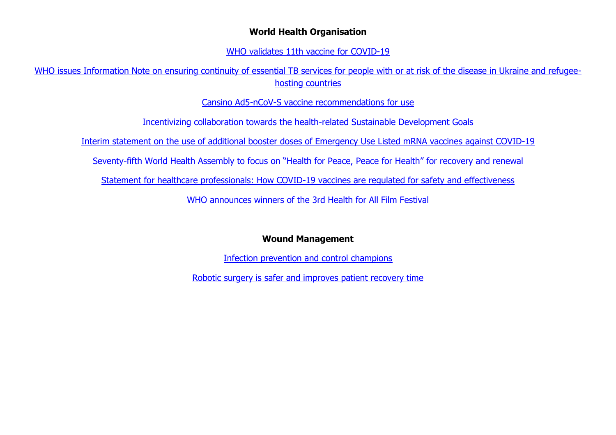#### **World Health Organisation**

[WHO validates 11th vaccine for COVID-19](https://www.who.int/news/item/19-05-2022-who-validates-11th-vaccine-for-covid-19)

[WHO issues Information Note on ensuring continuity of essential TB services for people with or at risk of the disease in Ukraine and refugee](https://www.who.int/news/item/19-05-2022-who-issues-information-note-on-ensuring-continuity-of-essential-tb-services-for-people-with-or-at-risk-of-the-disease-in-ukraine-and-refugee-hosting-countries)[hosting countries](https://www.who.int/news/item/19-05-2022-who-issues-information-note-on-ensuring-continuity-of-essential-tb-services-for-people-with-or-at-risk-of-the-disease-in-ukraine-and-refugee-hosting-countries)

[Cansino Ad5-nCoV-S vaccine recommendations for use](https://www.who.int/news/item/19-05-2022-cansino-ad5-ncov-s-vaccine-recommendations-for-use)

[Incentivizing collaboration towards the health-related Sustainable Development Goals](https://www.who.int/news/item/18-05-2022-incentivizing-collaborationt-towards-health-related-sustainable-development-goals)

[Interim statement on the use of additional booster doses of Emergency Use Listed mRNA vaccines against COVID-19](https://www.who.int/news/item/17-05-2022-interim-statement-on-the-use-of-additional-booster-doses-of-emergency-use-listed-mrna-vaccines-against-covid-19)

Seventy-[fifth World Health Assembly to focus on "Health for Peace, Peace](https://www.who.int/news/item/17-05-2022-seventy-fifth-world-health-assembly-to-focus-on--health-for-peace--peace-for-health--for-recovery-and-renewal) for Health" for recovery and renewal

[Statement for healthcare professionals: How COVID-19 vaccines are regulated for safety and effectiveness](https://www.who.int/news/item/17-05-2022-statement-for-healthcare-professionals-how-covid-19-vaccines-are-regulated-for-safety-and-effectiveness)

[WHO announces winners of the 3rd Health for All Film Festival](https://www.who.int/news/item/17-05-2022-who-announces-winners-of-the-3rd-health-for-all-film-festival)

## **Wound Management**

[Infection prevention and control champions](https://qni.org.uk/nursing-in-the-community/infection-prevention-and-control-champions/)

[Robotic surgery is safer and improves patient recovery time](https://www.sciencedaily.com/releases/2022/05/220515113215.htm?utm_source=feedburner&utm_medium=email)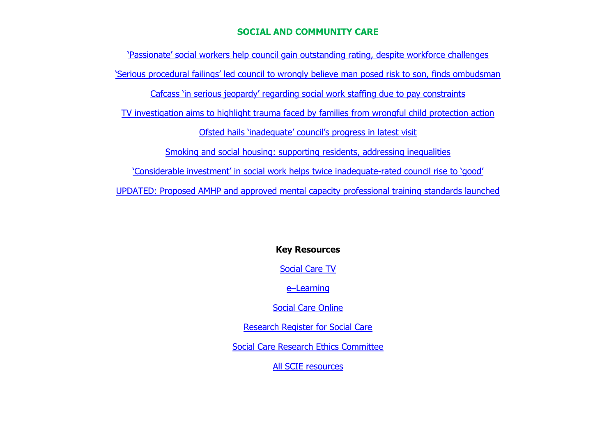#### **SOCIAL AND COMMUNITY CARE**

<span id="page-16-0"></span>['Passionate' social workers help council gain outstanding rating, despite workforc](http://email.communitycare.co.uk/c/1312IRUpb1f7BU99txNfZL3lSXNd)e challenges ['Serious procedural failings' led council to wrongly believe man posed risk to son, finds ombudsman](http://email.communitycare.co.uk/c/1317eANRVoXo0E66eVRNDhy7by5u) [Cafcass 'in serious jeopardy' regarding social work staffing due to pay constraints](http://email.communitycare.co.uk/c/1317eEWNH8bYuhuZpNWW2wJOWGxp) [TV investigation aims to highlight trauma faced by families from wrongful child protection action](http://email.communitycare.co.uk/c/130X2E5C5gjm5d5e0KpTsKNWW1XG) [Ofsted hails 'inadequate' council's progress in latest visit](http://email.communitycare.co.uk/c/130X2IexQZxWyQu7bCv1RZZEHapB) [Smoking and social housing: supporting residents, addressing inequalities](https://kingsfundmail.org.uk/21A8-7UG4U-JQQP8A-4SKX6T-1/c.aspx) ['Considerable investment' in social work helps twice i](http://email.communitycare.co.uk/c/131e9okPk2sxP5I9MCuRWhvJ38EG)nadequate-rated council rise to 'good' [UPDATED: Proposed AMHP and approved mental capacity professional training standards launched](http://email.communitycare.co.uk/c/131e9tRp10LZNgUG17h39h603ZfU)

**Key Resources**

[Social Care TV](http://www.scie.org.uk/socialcaretv/index.asp)

e–[Learning](http://www.scie.org.uk/publications/elearning/index.asp)

[Social Care Online](http://www.scie-socialcareonline.org.uk/)

[Research Register for Social Care](http://www.researchregister.org.uk/)

[Social Care Research Ethics Committee](http://www.screc.org.uk/)

[All SCIE resources](http://www.scie.org.uk/publications/index.asp)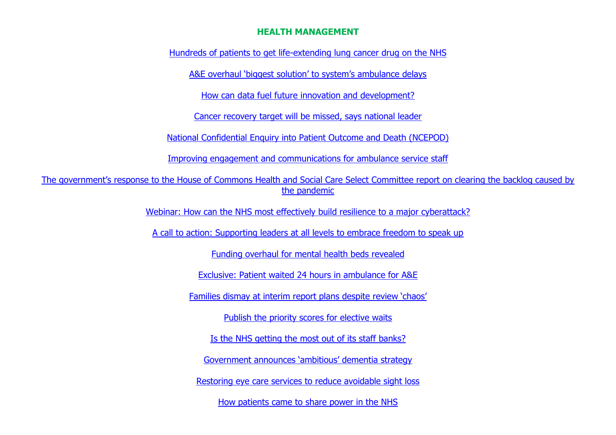#### **HEALTH MANAGEMENT**

<span id="page-17-0"></span>[Hundreds of patients to get life-extending lung cancer drug on the NHS](https://www.england.nhs.uk/2022/05/hundreds-of-patients-to-get-life-extending-lung-cancer-drug-on-the-nhs/?utm_source=feedburner&utm_medium=email)

[A&E overhaul 'biggest solution' to system's ambulance delays](http://go2.wilmingtonplc.com/OTM2LUZSWi03MTkAAAGEdPOuYUm1_pat7I263vF5DpYnJbakzll45lpbSoZVm0h3JKzQWUzgVH1v1JPwfpUmvNLKB-s=)

[How can data fuel future innovation and development?](http://go2.wilmingtonplc.com/OTM2LUZSWi03MTkAAAGEdPOuYKtbLDpQpj8F82g0kfVwd7PRFfQlubh7WNtsBixLayGKqsyUaS0GF_b-sqBBaZC0H5U=)

[Cancer recovery target will be missed, says national leader](http://go2.wilmingtonplc.com/OTM2LUZSWi03MTkAAAGEdPOuYDIM4FdFSS6peOhyZiPnCxrtUIAwGNxH4Pa9nSKBtYrmmcCxNc8bFT_BdfWlddqHvXE=)

[National Confidential Enquiry into Patient Outcome and Death \(NCEPOD\)](https://kingsfundmail.org.uk/21A8-7UY92-JQQP8A-4SSOHJ-1/c.aspx)

[Improving engagement and communications for ambulance service staff](https://www.nhsemployers.org/case-studies/improving-engagement-and-communications-ambulance-service-staff?utm_source=The%20King%27s%20Fund%20newsletters%20%28main%20account%29&utm_medium=email&utm_campaign=13201382_NEWSL_HMP%202022-05-17&dm_i=21A8,7UY92,JQQP8A,W3VWN,1)

[The government's response to the House of Commons Health and Social Care Select C](https://kingsfundmail.org.uk/21A8-7UY92-JQQP8A-4SPVC5-1/c.aspx)ommittee report on clearing the backlog caused by the [pandemic](https://kingsfundmail.org.uk/21A8-7UY92-JQQP8A-4SPVC5-1/c.aspx)

[Webinar: How can the NHS most effectively build resilience to a major cyberattack?](http://go2.wilmingtonplc.com/OTM2LUZSWi03MTkAAAGEcPGYksEPyGiF4gYHTCLFZ6FTx2r2g1W5FweELpCopAY48N7WL05uFxzZwcBVSuQMurxset8=)

[A call to action: Supporting leaders at all levels to embrace freedom to speak up](http://go2.wilmingtonplc.com/OTM2LUZSWi03MTkAAAGEb85tnVqCqNYIAtlejGaa641WNQhylGHRW3hC6CRdM0SRKIdf0jMcBmcwnHFJ0oUshHCGowk=)

[Funding overhaul for mental health beds revealed](http://go2.wilmingtonplc.com/OTM2LUZSWi03MTkAAAGEb85tni5Hv09XEEK5xSAjq0sy5VMD-jlQ2UZPpV4gAZjicY29muHujIYuH9bb_dBkHyYqWPs=)

[Exclusive: Patient waited 24 hours in ambulance for A&E](http://go2.wilmingtonplc.com/OTM2LUZSWi03MTkAAAGEb85tnqXeHxUzse8Qfen-tcs9m_GuNDMwQNzomEGQ90-opmucreAFv6LlwsD9HaW-YlgTw-Q=)

[Families dismay at interim report plans despite review 'chaos'](http://go2.wilmingtonplc.com/OTM2LUZSWi03MTkAAAGEehlVgp0UDbJ41N9HpAIXmQqBM0PR3pgOj53KywEyMbfg9NsmZoGNQ4PTrMpUNTZw_npbSWA=)

[Publish the priority scores for elective waits](http://go2.wilmingtonplc.com/OTM2LUZSWi03MTkAAAGEehlVgTAllVo7UiFZfduJUj9EqS7vht0k4bTLKLyPlV2JATlU0tFuF3QEiHKz602vQEha37U=)

[Is the NHS getting the most out of its staff banks?](http://go2.wilmingtonplc.com/OTM2LUZSWi03MTkAAAGEehlVggtA89YxaZuTlYuqPHU_H9-haNBmY6rNdjc7m4kl--__gETAEcW017ir43SMXfuoDsA=)

[Government announces 'ambitious' dementia strategy](http://go2.wilmingtonplc.com/OTM2LUZSWi03MTkAAAGEdilNdYrpPnDTVNnp6qo7R-U4TBRnDbf01NaCUK4Rg8K9EssBQej6lkjaRJgm-JsoHqFtshU=)

[Restoring eye care services to reduce avoidable sight loss](http://go2.wilmingtonplc.com/OTM2LUZSWi03MTkAAAGEdilNdml4LhQDhX2xvrEHCtKj5W3vZTljlyY23uTRiCm6LnzKaQNnhpHgtj5owzS5eGL7ahk=) 

[How patients came to share power in the NHS](http://go2.wilmingtonplc.com/OTM2LUZSWi03MTkAAAGEdilNdIoi6I_ba0LJIyGOEOsMFv13Ll3_Vy0uzfyoeY7dMk_wGJP865jBvBqJ7G78gZfhQ34=)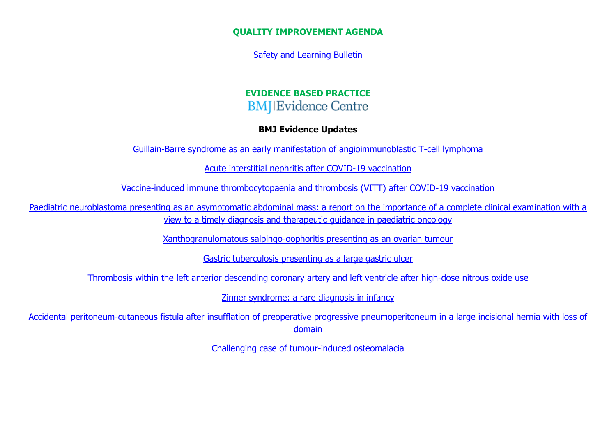**QUALITY IMPROVEMENT AGENDA**

[Safety and Learning Bulletin](http://edrm/sites/DH/DHIntranet/Safety%20%20Learning%20Bulletin%20Issue%204%20May%202022.pdf)

# **EVIDENCE BASED PRACTICE BMJ**IEvidence Centre

### **BMJ Evidence Updates**

[Guillain-Barre syndrome as an early manifestation of angioimmunoblastic T-cell lymphoma](http://casereports.bmj.com/cgi/content/short/15/5/e246176?rss=1)

[Acute interstitial nephritis after COVID-19 vaccination](http://casereports.bmj.com/cgi/content/short/15/5/e246841?rss=1)

[Vaccine-induced immune thrombocytopaenia and thrombosis \(VITT\) after COVID-19 vaccination](http://casereports.bmj.com/cgi/content/short/15/5/e247346?rss=1)

<span id="page-18-0"></span>[Paediatric neuroblastoma presenting as an asymptomatic abdominal mass: a report on the importance of a complete clinical examination with a](http://casereports.bmj.com/cgi/content/short/15/5/e247907?rss=1)  [view to a timely diagnosis and therapeutic guidance in paediatric oncology](http://casereports.bmj.com/cgi/content/short/15/5/e247907?rss=1)

[Xanthogranulomatous salpingo-oophoritis presenting as an ovarian tumour](http://casereports.bmj.com/cgi/content/short/15/5/e248197?rss=1)

[Gastric tuberculosis presenting as a large gastric ulcer](http://casereports.bmj.com/cgi/content/short/15/5/e248215?rss=1)

[Thrombosis within the left anterior descending coronary artery and left ventricle after high-dose nitrous oxide use](http://casereports.bmj.com/cgi/content/short/15/5/e248281?rss=1)

[Zinner syndrome: a rare diagnosis in infancy](http://casereports.bmj.com/cgi/content/short/15/5/e248558?rss=1)

[Accidental peritoneum-cutaneous fistula after insufflation of preoperative progressive pneumoperitoneum in a large incisional hernia with loss of](http://casereports.bmj.com/cgi/content/short/15/5/e248984?rss=1)  [domain](http://casereports.bmj.com/cgi/content/short/15/5/e248984?rss=1)

[Challenging case of tumour-induced osteomalacia](http://casereports.bmj.com/cgi/content/short/15/5/e249200?rss=1)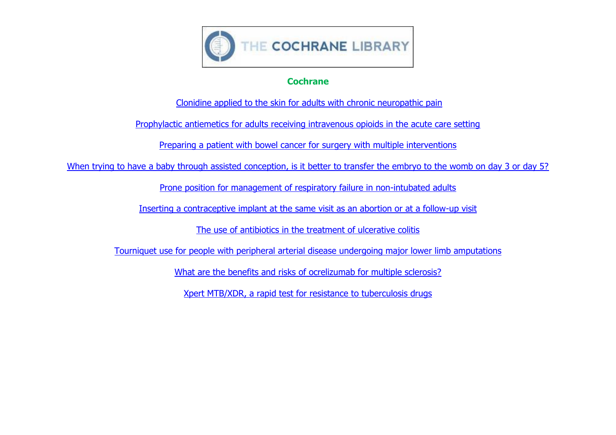

## **Cochrane**

[Clonidine applied to the skin for adults with chronic neuropathic pain](https://www.cochrane.org/CD010967/SYMPT_clonidine-applied-skin-adults-chronic-neuropathic-pain)

[Prophylactic antiemetics for adults receiving intravenous opioids in the acute care setting](https://www.cochrane.org/CD013860/SYMPT_prophylactic-antiemetics-adults-receiving-intravenous-opioids-acute-care-setting)

[Preparing a patient with bowel cancer for surgery with multiple interventions](https://www.cochrane.org/CD013259/COLOCA_preparing-patient-bowel-cancer-surgery-multiple-interventions)

[When trying to have a baby through assisted conception, is it better to transfer the embryo to the womb on day 3 or day 5?](https://www.cochrane.org/CD002118/MENSTR_when-trying-have-baby-through-assisted-conception-it-better-transfer-embryo-womb-day-3-or-day-5)

[Prone position for management of respiratory failure in non-intubated adults](https://www.cochrane.org/CD014828/EMERG_prone-position-management-respiratory-failure-non-intubated-adults)

[Inserting a contraceptive implant at the same visit as an abortion or at a follow-up visit](https://www.cochrane.org/CD013565/FERTILREG_inserting-contraceptive-implant-same-visit-abortion-or-follow-visit)

[The use of antibiotics in the treatment of ulcerative colitis](https://www.cochrane.org/CD013743/GUT_use-antibiotics-treatment-ulcerative-colitis)

[Tourniquet use for people with peripheral arterial disease undergoing major lower limb amputations](https://www.cochrane.org/CD015232/PVD_tourniquet-use-people-peripheral-arterial-disease-undergoing-major-lower-limb-amputations)

[What are the benefits and risks of ocrelizumab for multiple sclerosis?](https://www.cochrane.org/CD013247/MS_what-are-benefits-and-risks-ocrelizumab-multiple-sclerosis)

[Xpert MTB/XDR, a rapid test for resistance to tuberculosis drugs](https://www.cochrane.org/CD014841/INFECTN_xpert-mtbxdr-rapid-test-resistance-tuberculosis-drugs)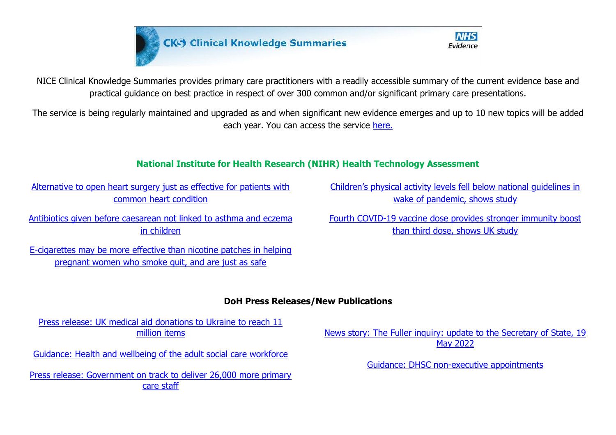



NICE Clinical Knowledge Summaries provides primary care practitioners with a readily accessible summary of the current evidence base and practical guidance on best practice in respect of over 300 common and/or significant primary care presentations.

The service is being regularly maintained and upgraded as and when significant new evidence emerges and up to 10 new topics will be added each year. You can access the service [here.](https://cks.nice.org.uk/)

# **National Institute for Health Research (NIHR) Health Technology Assessment**

[Alternative to open heart surgery just as effective for patients with](https://www.nihr.ac.uk/news/alternative-to-open-heart-surgery-just-as-effective-for-patients-with-common-heart-condition/30615)  [common heart condition](https://www.nihr.ac.uk/news/alternative-to-open-heart-surgery-just-as-effective-for-patients-with-common-heart-condition/30615)

[Antibiotics given before caesarean not linked to asthma and eczema](https://www.nihr.ac.uk/news/antibiotics-given-before-caesarean-not-linked-to-asthma-and-eczema-in-children/30620)  [in children](https://www.nihr.ac.uk/news/antibiotics-given-before-caesarean-not-linked-to-asthma-and-eczema-in-children/30620)

[E-cigarettes may be more effective than nicotine patches in helping](https://www.nihr.ac.uk/news/e-cigarettes-may-be-more-effective-than-nicotine-patches-in-helping-pregnant-women-who-smoke-quit-and-are-just-as-safe/30612)  [pregnant women who smoke quit, and are just as safe](https://www.nihr.ac.uk/news/e-cigarettes-may-be-more-effective-than-nicotine-patches-in-helping-pregnant-women-who-smoke-quit-and-are-just-as-safe/30612)

[Children's physical activity levels fell below national guidelines in](https://www.nihr.ac.uk/news/childrens-physical-activity-levels-fell-below-national-guidelines-in-wake-of-pandemic-shows-study/30604)  [wake of pandemic, shows study](https://www.nihr.ac.uk/news/childrens-physical-activity-levels-fell-below-national-guidelines-in-wake-of-pandemic-shows-study/30604)

[Fourth COVID-19 vaccine dose provides stronger immunity boost](https://www.nihr.ac.uk/news/fourth-covid-19-vaccine-dose-provides-stronger-immunity-boost-than-third-dose-shows-uk-study/30514)  [than third dose, shows UK study](https://www.nihr.ac.uk/news/fourth-covid-19-vaccine-dose-provides-stronger-immunity-boost-than-third-dose-shows-uk-study/30514)

# **DoH Press Releases/New Publications**

[Press release: UK medical aid donations to Ukraine to reach 11](https://www.gov.uk/government/news/uk-medical-aid-donations-to-ukraine-to-reach-11-million-items)  [million items](https://www.gov.uk/government/news/uk-medical-aid-donations-to-ukraine-to-reach-11-million-items)

[Guidance: Health and wellbeing of the adult social care workforce](https://www.gov.uk/government/publications/health-and-wellbeing-of-the-adult-social-care-workforce)

[Press release: Government on track to deliver 26,000 more primary](https://www.gov.uk/government/news/government-on-track-to-deliver-26000-more-primary-care-staff)  [care staff](https://www.gov.uk/government/news/government-on-track-to-deliver-26000-more-primary-care-staff)

[News story: The Fuller inquiry: update to the Secretary of State, 19](https://www.gov.uk/government/news/the-fuller-inquiry-update-to-the-secretary-of-state-19-may-2022)  [May 2022](https://www.gov.uk/government/news/the-fuller-inquiry-update-to-the-secretary-of-state-19-may-2022)

[Guidance: DHSC non-executive appointments](https://www.gov.uk/government/publications/dh-non-executive-appointments)